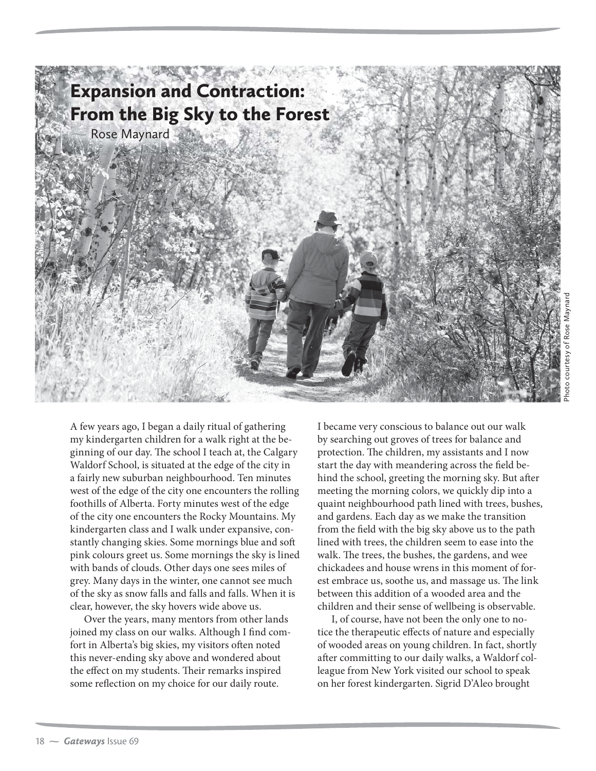

A few years ago, I began a daily ritual of gathering my kindergarten children for a walk right at the beginning of our day. The school I teach at, the Calgary Waldorf School, is situated at the edge of the city in a fairly new suburban neighbourhood. Ten minutes west of the edge of the city one encounters the rolling foothills of Alberta. Forty minutes west of the edge of the city one encounters the Rocky Mountains. My kindergarten class and I walk under expansive, constantly changing skies. Some mornings blue and soft pink colours greet us. Some mornings the sky is lined with bands of clouds. Other days one sees miles of grey. Many days in the winter, one cannot see much of the sky as snow falls and falls and falls. When it is clear, however, the sky hovers wide above us.

Over the years, many mentors from other lands joined my class on our walks. Although I find comfort in Alberta's big skies, my visitors often noted this never-ending sky above and wondered about the effect on my students. Their remarks inspired some reflection on my choice for our daily route.

I became very conscious to balance out our walk by searching out groves of trees for balance and protection. The children, my assistants and I now start the day with meandering across the field behind the school, greeting the morning sky. But after meeting the morning colors, we quickly dip into a quaint neighbourhood path lined with trees, bushes, and gardens. Each day as we make the transition from the field with the big sky above us to the path lined with trees, the children seem to ease into the walk. The trees, the bushes, the gardens, and wee chickadees and house wrens in this moment of forest embrace us, soothe us, and massage us. The link between this addition of a wooded area and the children and their sense of wellbeing is observable.

I, of course, have not been the only one to notice the therapeutic effects of nature and especially of wooded areas on young children. In fact, shortly after committing to our daily walks, a Waldorf colleague from New York visited our school to speak on her forest kindergarten. Sigrid D'Aleo brought